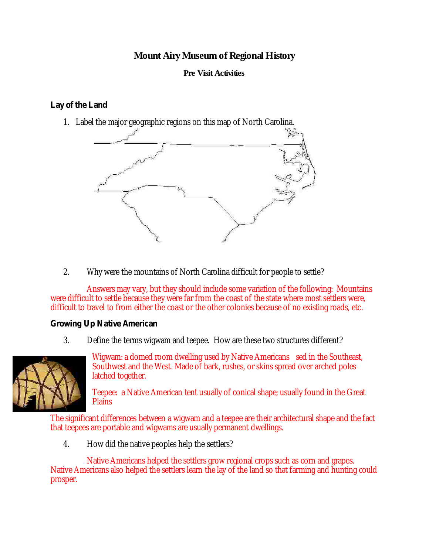## **Mount AiryMuseum of Regional History**

## **Pre Visit Activities**

## **Lay of the Land**

1. Label the major geographic regions on this map of North Carolina.



2. Why were the mountains of North Carolina difficult for people to settle?

Answers may vary, but they should include some variation of the following: Mountains were difficult to settle because they were far from the coast of the state where most settlers were, difficult to travel to from either the coast or the other colonies because of no existing roads, etc.

**Growing Up Native American**

3. Define the terms wigwam and teepee. How are these two structures different?



Wigwam: a domed room dwelling used by Native Americans sed in the Southeast, Southwest and the West. Made of bark, rushes, or skins spread over arched poles latched together.

Teepee: a Native American tent usually of conical shape; usually found in the Great **Plains** 

The significant differences between a wigwam and a teepee are their architectural shape and the fact that teepees are portable and wigwams are usually permanent dwellings.

4. How did the native peoples help the settlers?

Native Americans helped the settlers grow regional crops such as corn and grapes. Native Americans also helped the settlers learn the lay of the land so that farming and hunting could prosper.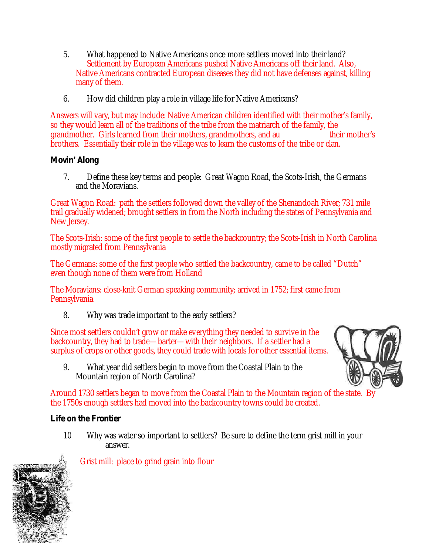- 5. What happened to Native Americans once more settlers moved into their land? Settlement by European Americans pushed Native Americans off their land. Also, Native Americans contracted European diseases they did not have defenses against, killing many of them.
- 6. How did children play a role in village life for Native Americans?

Answers will vary, but may include: Native American children identified with their mother's family, so they would learn all of the traditions of the tribe from the matriarch of the family, the grandmother. Girls learned from their mothers, grandmothers, and au their mother's brothers. Essentially their role in the village was to learn the customs of the tribe or clan.

**Movin' Along**

7. Define these key terms and people: Great Wagon Road, the Scots-Irish, the Germans and the Moravians.

Great Wagon Road: path the settlers followed down the valley of the Shenandoah River; 731 mile trail gradually widened; brought settlers in from the North including the states of Pennsylvania and New Jersey.

The Scots-Irish: some of the first people to settle the backcountry; the Scots-Irish in North Carolina mostly migrated from Pennsylvania

The Germans: some of the first people who settled the backcountry, came to be called "Dutch" even though none of them were from Holland

The Moravians: close-knit German speaking community; arrived in 1752; first came from **Pennsylvania** 

8. Why was trade important to the early settlers?

Since most settlers couldn't grow or make everything they needed to survive in the backcountry, they had to trade—barter—with their neighbors. If a settler had a surplus of crops or other goods, they could trade with locals for other essential items.

9. What year did settlers begin to move from the Coastal Plain to the Mountain region of North Carolina?



Around 1730 settlers began to move from the Coastal Plain to the Mountain region of the state. By the 1750s enough settlers had moved into the backcountry towns could be created.

**Life on the Frontier**

10 Why was water so important to settlers? Be sure to define the term grist mill in your answer.



Grist mill: place to grind grain into flour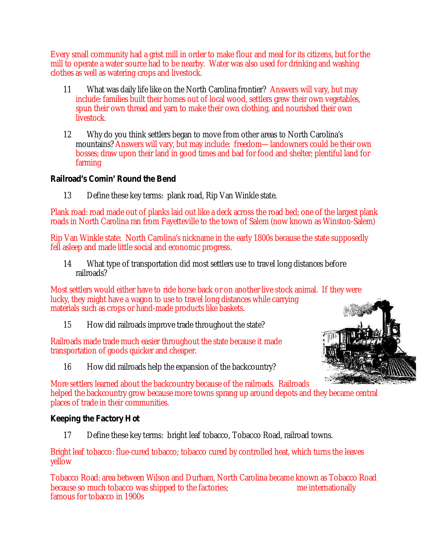Every small community had a grist mill in order to make flour and meal for its citizens, but for the mill to operate a water source had to be nearby. Water was also used for drinking and washing clothes as well as watering crops and livestock.

- 11 What was daily life like on the North Carolina frontier? Answers will vary, but may include: families built their homes out of local wood, settlers grew their own vegetables, spun their own thread and yarn to make their own clothing, and nourished their own livestock.
- 12 Why do you think settlers began to move from other areas to North Carolina's mountains? Answers will vary, but may include: freedom—landowners could be their own bosses; draw upon their land in good times and bad for food and shelter; plentiful land for farming

**Railroad's Comin' Round the Bend**

13 Define these key terms: plank road, Rip Van Winkle state.

Plank road: road made out of planks laid out like a deck across the road bed; one of the largest plank roads in North Carolina ran from Fayetteville to the town of Salem (now known as Winston-Salem)

Rip Van Winkle state: North Carolina's nickname in the early 1800s because the state supposedly fell asleep and made little social and economic progress.

14 What type of transportation did most settlers use to travel long distances before railroads?

Most settlers would either have to ride horse back or on another live stock animal. If they were lucky, they might have a wagon to use to travel long distances while carrying materials such as crops or hand-made products like baskets.

15 How did railroads improve trade throughout the state?

Railroads made trade much easier throughout the state because it made transportation of goods quicker and cheaper.

16 How did railroads help the expansion of the backcountry?



More settlers learned about the backcountry because of the railroads. Railroads helped the backcountry grow because more towns sprang up around depots and they became central places of trade in their communities.

**Keeping the Factory Hot**

17 Define these key terms: bright leaf tobacco, Tobacco Road, railroad towns.

Bright leaf tobacco: flue-cured tobacco; tobacco cured by controlled heat, which turns the leaves yellow

Tobacco Road: area between Wilson and Durham, North Carolina became known as Tobacco Road because so much tobacco was shipped to the factories; me internationally famous for tobacco in 1900s